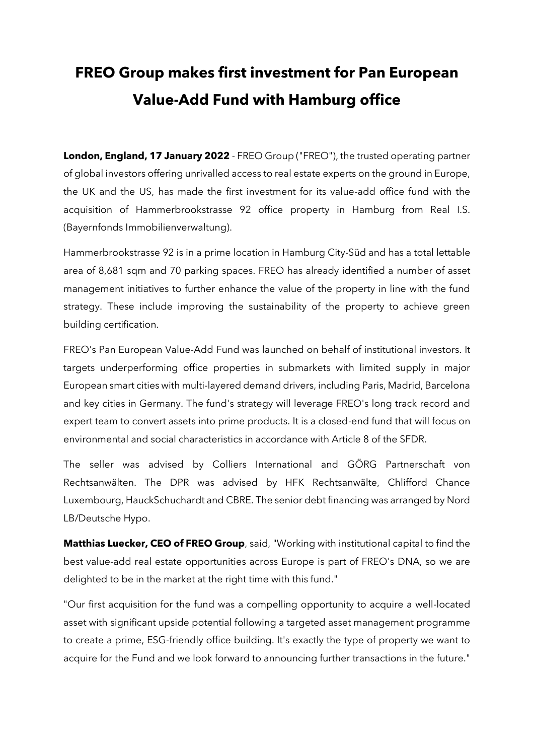## **FREO Group makes first investment for Pan European Value-Add Fund with Hamburg office**

**London, England, 17 January 2022** - FREO Group ("FREO"), the trusted operating partner of global investors offering unrivalled access to real estate experts on the ground in Europe, the UK and the US, has made the first investment for its value-add office fund with the acquisition of Hammerbrookstrasse 92 office property in Hamburg from Real I.S. (Bayernfonds Immobilienverwaltung).

Hammerbrookstrasse 92 is in a prime location in Hamburg City-Süd and has a total lettable area of 8,681 sqm and 70 parking spaces. FREO has already identified a number of asset management initiatives to further enhance the value of the property in line with the fund strategy. These include improving the sustainability of the property to achieve green building certification.

FREO's Pan European Value-Add Fund was launched on behalf of institutional investors. It targets underperforming office properties in submarkets with limited supply in major European smart cities with multi-layered demand drivers, including Paris, Madrid, Barcelona and key cities in Germany. The fund's strategy will leverage FREO's long track record and expert team to convert assets into prime products. It is a closed-end fund that will focus on environmental and social characteristics in accordance with Article 8 of the SFDR.

The seller was advised by Colliers International and GÖRG Partnerschaft von Rechtsanwälten. The DPR was advised by HFK Rechtsanwälte, Chlifford Chance Luxembourg, HauckSchuchardt and CBRE. The senior debt financing was arranged by Nord LB/Deutsche Hypo.

**Matthias Luecker, CEO of FREO Group**, said, "Working with institutional capital to find the best value-add real estate opportunities across Europe is part of FREO's DNA, so we are delighted to be in the market at the right time with this fund."

"Our first acquisition for the fund was a compelling opportunity to acquire a well-located asset with significant upside potential following a targeted asset management programme to create a prime, ESG-friendly office building. It's exactly the type of property we want to acquire for the Fund and we look forward to announcing further transactions in the future."